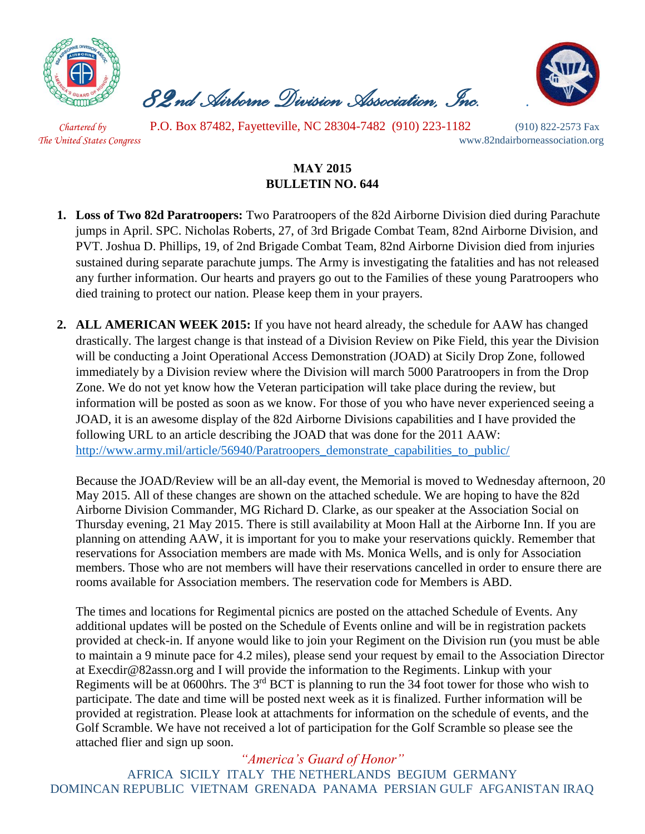

*82nd Airborne Division Association, Inc. .*



 *Chartered by* P.O. Box 87482, Fayetteville, NC 28304-7482 (910) 223-1182 (910) 822-2573 Fax *The United States Congress* www.82ndairborneassociation.org

## **MAY 2015 BULLETIN NO. 644**

- **1. Loss of Two 82d Paratroopers:** Two Paratroopers of the 82d Airborne Division died during Parachute jumps in April. SPC. Nicholas Roberts, 27, of 3rd Brigade Combat Team, 82nd Airborne Division, and PVT. Joshua D. Phillips, 19, of 2nd Brigade Combat Team, 82nd Airborne Division died from injuries sustained during separate parachute jumps. The Army is investigating the fatalities and has not released any further information. Our hearts and prayers go out to the Families of these young Paratroopers who died training to protect our nation. Please keep them in your prayers.
- **2. ALL AMERICAN WEEK 2015:** If you have not heard already, the schedule for AAW has changed drastically. The largest change is that instead of a Division Review on Pike Field, this year the Division will be conducting a Joint Operational Access Demonstration (JOAD) at Sicily Drop Zone, followed immediately by a Division review where the Division will march 5000 Paratroopers in from the Drop Zone. We do not yet know how the Veteran participation will take place during the review, but information will be posted as soon as we know. For those of you who have never experienced seeing a JOAD, it is an awesome display of the 82d Airborne Divisions capabilities and I have provided the following URL to an article describing the JOAD that was done for the 2011 AAW: [http://www.army.mil/article/56940/Paratroopers\\_demonstrate\\_capabilities\\_to\\_public/](http://www.army.mil/article/56940/Paratroopers_demonstrate_capabilities_to_public/)

Because the JOAD/Review will be an all-day event, the Memorial is moved to Wednesday afternoon, 20 May 2015. All of these changes are shown on the attached schedule. We are hoping to have the 82d Airborne Division Commander, MG Richard D. Clarke, as our speaker at the Association Social on Thursday evening, 21 May 2015. There is still availability at Moon Hall at the Airborne Inn. If you are planning on attending AAW, it is important for you to make your reservations quickly. Remember that reservations for Association members are made with Ms. Monica Wells, and is only for Association members. Those who are not members will have their reservations cancelled in order to ensure there are rooms available for Association members. The reservation code for Members is ABD.

The times and locations for Regimental picnics are posted on the attached Schedule of Events. Any additional updates will be posted on the Schedule of Events online and will be in registration packets provided at check-in. If anyone would like to join your Regiment on the Division run (you must be able to maintain a 9 minute pace for 4.2 miles), please send your request by email to the Association Director at Execdir@82assn.org and I will provide the information to the Regiments. Linkup with your Regiments will be at 0600hrs. The 3<sup>rd</sup> BCT is planning to run the 34 foot tower for those who wish to participate. The date and time will be posted next week as it is finalized. Further information will be provided at registration. Please look at attachments for information on the schedule of events, and the Golf Scramble. We have not received a lot of participation for the Golf Scramble so please see the attached flier and sign up soon.

*"America's Guard of Honor"* AFRICA SICILY ITALY THE NETHERLANDS BEGIUM GERMANY DOMINCAN REPUBLIC VIETNAM GRENADA PANAMA PERSIAN GULF AFGANISTAN IRAQ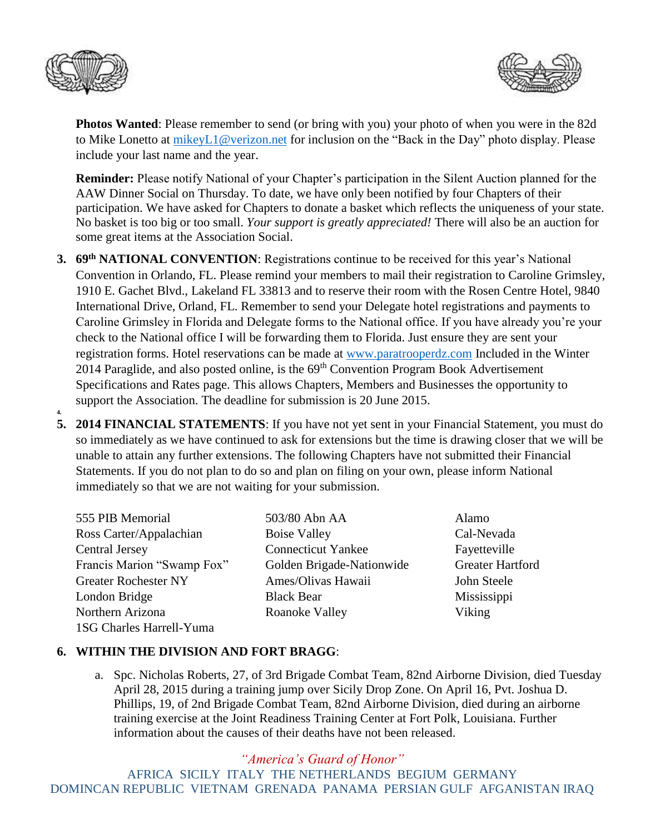

**4.**



**Photos Wanted**: Please remember to send (or bring with you) your photo of when you were in the 82d to Mike Lonetto at [mikeyL1@verizon.net](mailto:mikeyL1@verizon.net) for inclusion on the "Back in the Day" photo display. Please include your last name and the year.

**Reminder:** Please notify National of your Chapter's participation in the Silent Auction planned for the AAW Dinner Social on Thursday. To date, we have only been notified by four Chapters of their participation. We have asked for Chapters to donate a basket which reflects the uniqueness of your state. No basket is too big or too small. *Your support is greatly appreciated!* There will also be an auction for some great items at the Association Social.

- **3. 69th NATIONAL CONVENTION**: Registrations continue to be received for this year's National Convention in Orlando, FL. Please remind your members to mail their registration to Caroline Grimsley, 1910 E. Gachet Blvd., Lakeland FL 33813 and to reserve their room with the Rosen Centre Hotel, 9840 International Drive, Orland, FL. Remember to send your Delegate hotel registrations and payments to Caroline Grimsley in Florida and Delegate forms to the National office. If you have already you're your check to the National office I will be forwarding them to Florida. Just ensure they are sent your registration forms. Hotel reservations can be made at [www.paratrooperdz.com](http://www.paratrooperdz.com/) Included in the Winter 2014 Paraglide, and also posted online, is the 69<sup>th</sup> Convention Program Book Advertisement Specifications and Rates page. This allows Chapters, Members and Businesses the opportunity to support the Association. The deadline for submission is 20 June 2015.
- **5. 2014 FINANCIAL STATEMENTS**: If you have not yet sent in your Financial Statement, you must do so immediately as we have continued to ask for extensions but the time is drawing closer that we will be unable to attain any further extensions. The following Chapters have not submitted their Financial Statements. If you do not plan to do so and plan on filing on your own, please inform National immediately so that we are not waiting for your submission.

1SG Charles Harrell-Yuma

555 PIB Memorial 503/80 Abn AA Alamo Ross Carter/Appalachian Boise Valley Cal-Nevada Central Jersey Connecticut Yankee Fayetteville Francis Marion "Swamp Fox" Golden Brigade-Nationwide Greater Hartford Greater Rochester NY Ames/Olivas Hawaii John Steele London Bridge Black Bear Mississippi Northern Arizona **Roanoke Valley** Viking

## **6. WITHIN THE DIVISION AND FORT BRAGG**:

a. Spc. Nicholas Roberts, 27, of 3rd Brigade Combat Team, 82nd Airborne Division, died Tuesday April 28, 2015 during a training jump over Sicily Drop Zone. On April 16, Pvt. Joshua D. Phillips, 19, of 2nd Brigade Combat Team, 82nd Airborne Division, died during an airborne training exercise at the Joint Readiness Training Center at Fort Polk, Louisiana. Further information about the causes of their deaths have not been released.

*"America's Guard of Honor"*

AFRICA SICILY ITALY THE NETHERLANDS BEGIUM GERMANY DOMINCAN REPUBLIC VIETNAM GRENADA PANAMA PERSIAN GULF AFGANISTAN IRAQ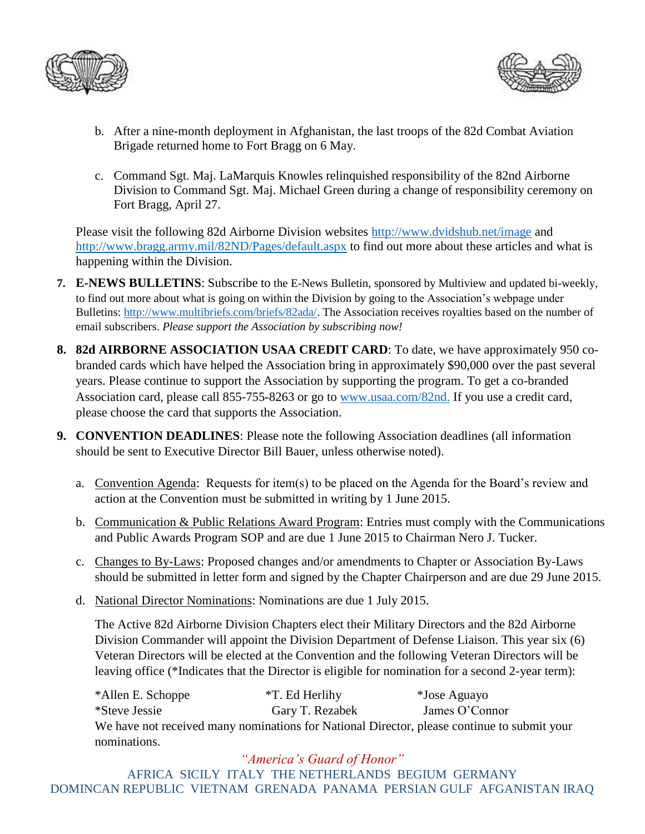



- b. After a nine-month deployment in Afghanistan, the last troops of the 82d Combat Aviation Brigade returned home to Fort Bragg on 6 May.
- c. Command Sgt. Maj. LaMarquis Knowles relinquished responsibility of the 82nd Airborne Division to Command Sgt. Maj. Michael Green during a change of responsibility ceremony on Fort Bragg, April 27.

Please visit the following 82d Airborne Division websites<http://www.dvidshub.net/image> and <http://www.bragg.army.mil/82ND/Pages/default.aspx> to find out more about these articles and what is happening within the Division.

- **7. E-NEWS BULLETINS**: Subscribe to the E-News Bulletin, sponsored by Multiview and updated bi-weekly, to find out more about what is going on within the Division by going to the Association's webpage under Bulletins: [http://www.multibriefs.com/briefs/82ada/.](http://www.multibriefs.com/briefs/82ada/) The Association receives royalties based on the number of email subscribers. *Please support the Association by subscribing now!*
- **8. 82d AIRBORNE ASSOCIATION USAA CREDIT CARD**: To date, we have approximately 950 cobranded cards which have helped the Association bring in approximately \$90,000 over the past several years. Please continue to support the Association by supporting the program. To get a co-branded Association card, please call 855-755-8263 or go to [www.usaa.com/82nd.](http://www.usaa.com/82nd) If you use a credit card, please choose the card that supports the Association.
- **9. CONVENTION DEADLINES**: Please note the following Association deadlines (all information should be sent to Executive Director Bill Bauer, unless otherwise noted).
	- a. Convention Agenda: Requests for item(s) to be placed on the Agenda for the Board's review and action at the Convention must be submitted in writing by 1 June 2015.
	- b. Communication & Public Relations Award Program: Entries must comply with the Communications and Public Awards Program SOP and are due 1 June 2015 to Chairman Nero J. Tucker.
	- c. Changes to By-Laws: Proposed changes and/or amendments to Chapter or Association By-Laws should be submitted in letter form and signed by the Chapter Chairperson and are due 29 June 2015.
	- d. National Director Nominations: Nominations are due 1 July 2015.

The Active 82d Airborne Division Chapters elect their Military Directors and the 82d Airborne Division Commander will appoint the Division Department of Defense Liaison. This year six (6) Veteran Directors will be elected at the Convention and the following Veteran Directors will be leaving office (\*Indicates that the Director is eligible for nomination for a second 2-year term):

\*Allen E. Schoppe \*T. Ed Herlihy \*Jose Aguayo \*Steve Jessie Gary T. Rezabek James O'Connor We have not received many nominations for National Director, please continue to submit your nominations.

*"America's Guard of Honor"* AFRICA SICILY ITALY THE NETHERLANDS BEGIUM GERMANY DOMINCAN REPUBLIC VIETNAM GRENADA PANAMA PERSIAN GULF AFGANISTAN IRAQ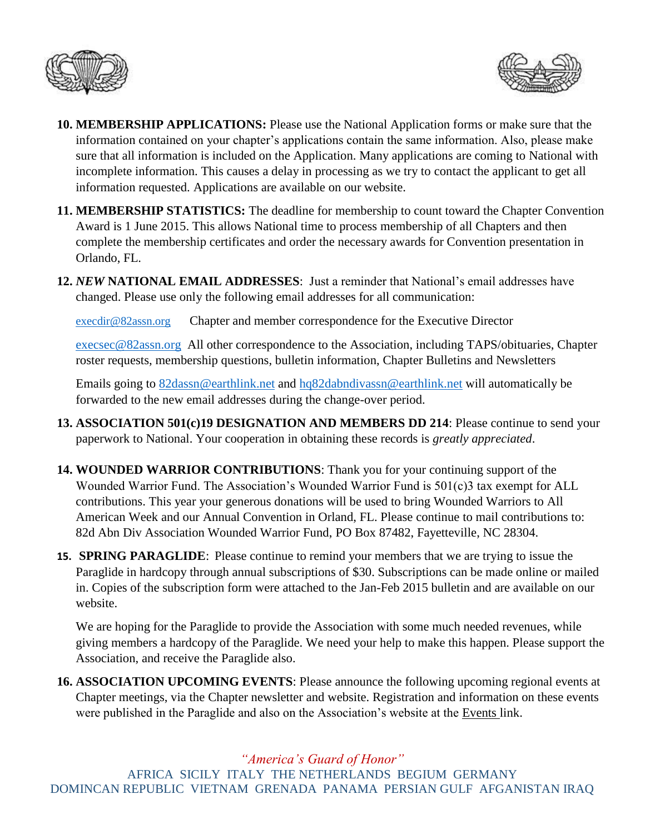



- **10. MEMBERSHIP APPLICATIONS:** Please use the National Application forms or make sure that the information contained on your chapter's applications contain the same information. Also, please make sure that all information is included on the Application. Many applications are coming to National with incomplete information. This causes a delay in processing as we try to contact the applicant to get all information requested. Applications are available on our website.
- **11. MEMBERSHIP STATISTICS:** The deadline for membership to count toward the Chapter Convention Award is 1 June 2015. This allows National time to process membership of all Chapters and then complete the membership certificates and order the necessary awards for Convention presentation in Orlando, FL.
- **12.** *NEW* **NATIONAL EMAIL ADDRESSES**: Just a reminder that National's email addresses have changed. Please use only the following email addresses for all communication:

[execdir@82assn.org](mailto:execdir@82assn.org) Chapter and member correspondence for the Executive Director

[execsec@82assn.org](mailto:execsec@82assn.org) All other correspondence to the Association, including TAPS/obituaries, Chapter roster requests, membership questions, bulletin information, Chapter Bulletins and Newsletters

Emails going to [82dassn@earthlink.net](mailto:82dassn@earthlink.net) and [hq82dabndivassn@earthlink.net](mailto:hq82dabndivassn@earthlink.net) will automatically be forwarded to the new email addresses during the change-over period.

- **13. ASSOCIATION 501(c)19 DESIGNATION AND MEMBERS DD 214**: Please continue to send your paperwork to National. Your cooperation in obtaining these records is *greatly appreciated*.
- **14. WOUNDED WARRIOR CONTRIBUTIONS**: Thank you for your continuing support of the Wounded Warrior Fund. The Association's Wounded Warrior Fund is 501(c)3 tax exempt for ALL contributions. This year your generous donations will be used to bring Wounded Warriors to All American Week and our Annual Convention in Orland, FL. Please continue to mail contributions to: 82d Abn Div Association Wounded Warrior Fund, PO Box 87482, Fayetteville, NC 28304.
- **15. SPRING PARAGLIDE**: Please continue to remind your members that we are trying to issue the Paraglide in hardcopy through annual subscriptions of \$30. Subscriptions can be made online or mailed in. Copies of the subscription form were attached to the Jan-Feb 2015 bulletin and are available on our website.

We are hoping for the Paraglide to provide the Association with some much needed revenues, while giving members a hardcopy of the Paraglide. We need your help to make this happen. Please support the Association, and receive the Paraglide also.

**16. ASSOCIATION UPCOMING EVENTS**: Please announce the following upcoming regional events at Chapter meetings, via the Chapter newsletter and website. Registration and information on these events were published in the Paraglide and also on the Association's website at the Events link.

*"America's Guard of Honor"*

AFRICA SICILY ITALY THE NETHERLANDS BEGIUM GERMANY DOMINCAN REPUBLIC VIETNAM GRENADA PANAMA PERSIAN GULF AFGANISTAN IRAQ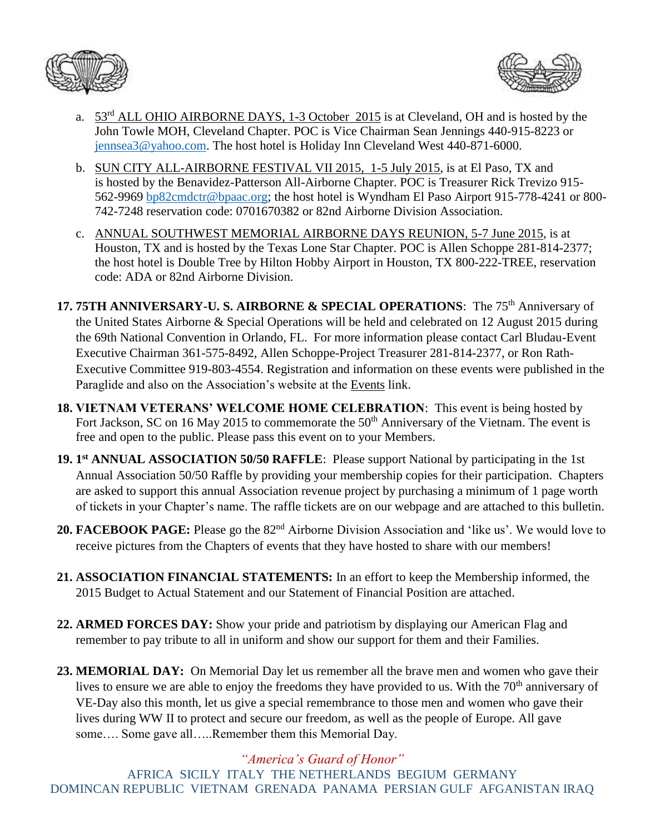



- a.  $53<sup>rd</sup> ALL OHIO AIRBORNE DAYS, 1-3 October 2015$  is at Cleveland, OH and is hosted by the John Towle MOH, Cleveland Chapter. POC is Vice Chairman Sean Jennings 440-915-8223 or [jennsea3@yahoo.com.](mailto:jennsea3@yahoo.com) The host hotel is Holiday Inn Cleveland West 440-871-6000.
- b. SUN CITY ALL-AIRBORNE FESTIVAL VII 2015, 1-5 July 2015, is at El Paso, TX and is hosted by the Benavidez-Patterson All-Airborne Chapter. POC is Treasurer Rick Trevizo 915- 562-9969 [bp82cmdctr@bpaac.org;](mailto:bp82cmdctr@bpaac.org) the host hotel is Wyndham El Paso Airport 915-778-4241 or 800- 742-7248 reservation code: 0701670382 or 82nd Airborne Division Association.
- c. ANNUAL SOUTHWEST MEMORIAL AIRBORNE DAYS REUNION, 5-7 June 2015, is at Houston, TX and is hosted by the Texas Lone Star Chapter. POC is Allen Schoppe 281-814-2377; the host hotel is Double Tree by Hilton Hobby Airport in Houston, TX 800-222-TREE, reservation code: ADA or 82nd Airborne Division.
- 17. 75TH ANNIVERSARY-U. S. AIRBORNE & SPECIAL OPERATIONS: The 75<sup>th</sup> Anniversary of the United States Airborne & Special Operations will be held and celebrated on 12 August 2015 during the 69th National Convention in Orlando, FL. For more information please contact Carl Bludau-Event Executive Chairman 361-575-8492, Allen Schoppe-Project Treasurer 281-814-2377, or Ron Rath-Executive Committee 919-803-4554. Registration and information on these events were published in the Paraglide and also on the Association's website at the Events link.
- **18. VIETNAM VETERANS' WELCOME HOME CELEBRATION**: This event is being hosted by Fort Jackson, SC on 16 May 2015 to commemorate the 50<sup>th</sup> Anniversary of the Vietnam. The event is free and open to the public. Please pass this event on to your Members.
- **19. 1 st ANNUAL ASSOCIATION 50/50 RAFFLE**: Please support National by participating in the 1st Annual Association 50/50 Raffle by providing your membership copies for their participation. Chapters are asked to support this annual Association revenue project by purchasing a minimum of 1 page worth of tickets in your Chapter's name. The raffle tickets are on our webpage and are attached to this bulletin.
- 20. **FACEBOOK PAGE:** Please go the 82<sup>nd</sup> Airborne Division Association and 'like us'. We would love to receive pictures from the Chapters of events that they have hosted to share with our members!
- **21. ASSOCIATION FINANCIAL STATEMENTS:** In an effort to keep the Membership informed, the 2015 Budget to Actual Statement and our Statement of Financial Position are attached.
- **22. ARMED FORCES DAY:** Show your pride and patriotism by displaying our American Flag and remember to pay tribute to all in uniform and show our support for them and their Families.
- **23. MEMORIAL DAY:** On Memorial Day let us remember all the brave men and women who gave their lives to ensure we are able to enjoy the freedoms they have provided to us. With the 70<sup>th</sup> anniversary of VE-Day also this month, let us give a special remembrance to those men and women who gave their lives during WW II to protect and secure our freedom, as well as the people of Europe. All gave some.... Some gave all.....Remember them this Memorial Day.

## *"America's Guard of Honor"*

AFRICA SICILY ITALY THE NETHERLANDS BEGIUM GERMANY DOMINCAN REPUBLIC VIETNAM GRENADA PANAMA PERSIAN GULF AFGANISTAN IRAQ